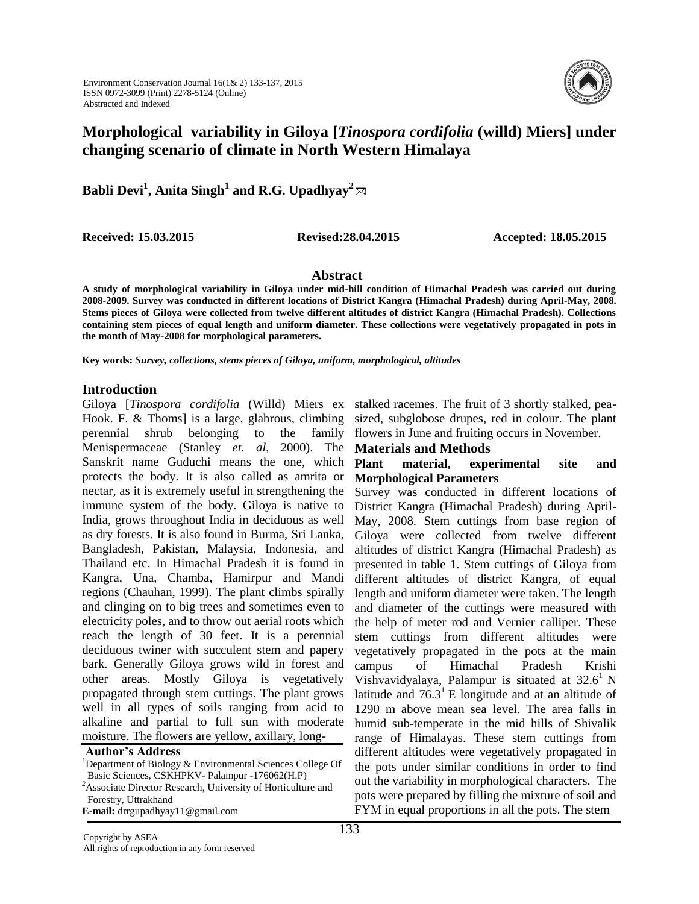

# **Morphological variability in Giloya [***Tinospora cordifolia* **(willd) Miers] under changing scenario of climate in North Western Himalaya**

**Babli Devi<sup>1</sup> , Anita Singh<sup>1</sup> and R.G. Upadhyay<sup>2</sup>**

**Received: 15.03.2015 Revised:28.04.2015 Accepted: 18.05.2015**

### **Abstract**

**A study of morphological variability in Giloya under mid-hill condition of Himachal Pradesh was carried out during 2008-2009. Survey was conducted in different locations of District Kangra (Himachal Pradesh) during April-May, 2008. Stems pieces of Giloya were collected from twelve different altitudes of district Kangra (Himachal Pradesh). Collections containing stem pieces of equal length and uniform diameter. These collections were vegetatively propagated in pots in the month of May-2008 for morphological parameters.** 

**Key words:** *Survey, collections, stems pieces of Giloya, uniform, morphological, altitudes*

### **Introduction**

Giloya [Tinospora cordifolia (Willd) Miers ex stalked racemes. The fruit of 3 shortly stalked, pea-Hook. F. & Thoms] is a large, glabrous, climbing sized, subglobose drupes, red in colour. The plant perennial shrub belonging to the family Menispermaceae (Stanley *et. al,* 2000). The Sanskrit name Guduchi means the one, which protects the body. It is also called as amrita or nectar, as it is extremely useful in strengthening the immune system of the body. Giloya is native to India, grows throughout India in deciduous as well as dry forests. It is also found in Burma, Sri Lanka, Bangladesh, Pakistan, Malaysia, Indonesia, and Thailand etc. In Himachal Pradesh it is found in Kangra, Una, Chamba, Hamirpur and Mandi regions (Chauhan, 1999). The plant climbs spirally and clinging on to big trees and sometimes even to electricity poles, and to throw out aerial roots which reach the length of 30 feet. It is a perennial deciduous twiner with succulent stem and papery bark. Generally Giloya grows wild in forest and other areas. Mostly Giloya is vegetatively propagated through stem cuttings. The plant grows well in all types of soils ranging from acid to alkaline and partial to full sun with moderate moisture. The flowers are yellow, axillary, long-

**Author's Address** 

flowers in June and fruiting occurs in November.

### **Materials and Methods**

### **Plant material, experimental site and Morphological Parameters**

Survey was conducted in different locations of District Kangra (Himachal Pradesh) during April-May, 2008. Stem cuttings from base region of Giloya were collected from twelve different altitudes of district Kangra (Himachal Pradesh) as presented in table 1. Stem cuttings of Giloya from different altitudes of district Kangra, of equal length and uniform diameter were taken. The length and diameter of the cuttings were measured with the help of meter rod and Vernier calliper. These stem cuttings from different altitudes were vegetatively propagated in the pots at the main campus of Himachal Pradesh Krishi Vishvavidyalaya, Palampur is situated at  $32.6^1$  N latitude and  $76.3<sup>1</sup>$  E longitude and at an altitude of 1290 m above mean sea level. The area falls in humid sub-temperate in the mid hills of Shivalik range of Himalayas. These stem cuttings from different altitudes were vegetatively propagated in the pots under similar conditions in order to find out the variability in morphological characters. The pots were prepared by filling the mixture of soil and FYM in equal proportions in all the pots. The stem

<sup>&</sup>lt;sup>1</sup>Department of Biology & Environmental Sciences College Of Basic Sciences, CSKHPKV- Palampur -176062(H.P) <sup>2</sup>Associate Director Research, University of Horticulture and Forestry, Uttrakhand

**E-mail:** drrgupadhyay11@gmail.com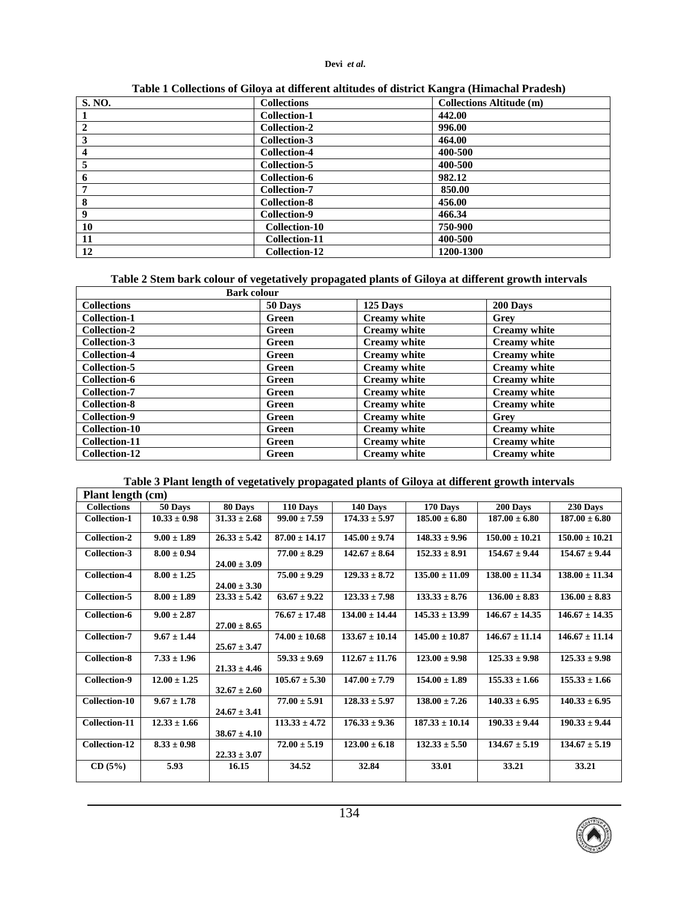### **Devi** *et al***.**

| <b>S. NO.</b>    | <b>Collections</b>   | <b>Collections Altitude (m)</b> |
|------------------|----------------------|---------------------------------|
|                  | <b>Collection-1</b>  | 442.00                          |
| $\overline{2}$   | Collection-2         | 996.00                          |
| 3                | <b>Collection-3</b>  | 464.00                          |
| $\boldsymbol{4}$ | <b>Collection-4</b>  | 400-500                         |
| 5                | <b>Collection-5</b>  | 400-500                         |
| 6                | Collection-6         | 982.12                          |
| 7                | <b>Collection-7</b>  | 850.00                          |
| 8                | <b>Collection-8</b>  | 456.00                          |
| 9                | Collection-9         | 466.34                          |
| 10               | Collection-10        | 750-900                         |
| -11              | Collection-11        | 400-500                         |
| 12               | <b>Collection-12</b> | 1200-1300                       |

**Table 1 Collections of Giloya at different altitudes of district Kangra (Himachal Pradesh)**

| Table 2 Stem bark colour of vegetatively propagated plants of Giloya at different growth intervals |  |  |  |
|----------------------------------------------------------------------------------------------------|--|--|--|
|                                                                                                    |  |  |  |
|                                                                                                    |  |  |  |

| <b>Bark colour</b>   |         |                     |                     |  |
|----------------------|---------|---------------------|---------------------|--|
| <b>Collections</b>   | 50 Days | 125 Days            | 200 Days            |  |
| <b>Collection-1</b>  | Green   | <b>Creamy white</b> | Grey                |  |
| <b>Collection-2</b>  | Green   | <b>Creamy</b> white | <b>Creamy</b> white |  |
| Collection-3         | Green   | <b>Creamy</b> white | <b>Creamy</b> white |  |
| <b>Collection-4</b>  | Green   | <b>Creamy</b> white | <b>Creamy</b> white |  |
| Collection-5         | Green   | <b>Creamy</b> white | <b>Creamy</b> white |  |
| Collection-6         | Green   | <b>Creamy</b> white | <b>Creamy</b> white |  |
| <b>Collection-7</b>  | Green   | <b>Creamy</b> white | <b>Creamy</b> white |  |
| <b>Collection-8</b>  | Green   | <b>Creamy</b> white | <b>Creamy</b> white |  |
| Collection-9         | Green   | <b>Creamy</b> white | Grev                |  |
| <b>Collection-10</b> | Green   | <b>Creamy</b> white | <b>Creamy</b> white |  |
| Collection-11        | Green   | <b>Creamy white</b> | <b>Creamy white</b> |  |
| <b>Collection-12</b> | Green   | <b>Creamy</b> white | <b>Creamy</b> white |  |

# **Table 3 Plant length of vegetatively propagated plants of Giloya at different growth intervals**

| <b>Plant length (cm)</b> |                  |                  |                   |                    |                    |                    |                    |
|--------------------------|------------------|------------------|-------------------|--------------------|--------------------|--------------------|--------------------|
| <b>Collections</b>       | 50 Days          | 80 Days          | 110 Days          | 140 Days           | 170 Days           | 200 Days           | 230 Days           |
| <b>Collection-1</b>      | $10.33 \pm 0.98$ | $31.33 \pm 2.68$ | $99.00 \pm 7.59$  | $174.33 \pm 5.97$  | $185.00 \pm 6.80$  | $187.00 \pm 6.80$  | $187.00 \pm 6.80$  |
| Collection-2             | $9.00 \pm 1.89$  | $26.33 \pm 5.42$ | $87.00 \pm 14.17$ | $145.00 \pm 9.74$  | $148.33 \pm 9.96$  | $150.00 \pm 10.21$ | $150.00 \pm 10.21$ |
| Collection-3             | $8.00 \pm 0.94$  | $24.00 \pm 3.09$ | $77.00 \pm 8.29$  | $142.67 \pm 8.64$  | $152.33 \pm 8.91$  | $154.67 \pm 9.44$  | $154.67 \pm 9.44$  |
| <b>Collection-4</b>      | $8.00 \pm 1.25$  | $24.00 \pm 3.30$ | $75.00 \pm 9.29$  | $129.33 \pm 8.72$  | $135.00 \pm 11.09$ | $138.00 \pm 11.34$ | $138.00 \pm 11.34$ |
| <b>Collection-5</b>      | $8.00 \pm 1.89$  | $23.33 \pm 5.42$ | $63.67 \pm 9.22$  | $123.33 \pm 7.98$  | $133.33 \pm 8.76$  | $136.00 \pm 8.83$  | $136.00 \pm 8.83$  |
| <b>Collection-6</b>      | $9.00 \pm 2.87$  | $27.00 \pm 8.65$ | $76.67 \pm 17.48$ | $134.00 \pm 14.44$ | $145.33 \pm 13.99$ | $146.67 \pm 14.35$ | $146.67 \pm 14.35$ |
| <b>Collection-7</b>      | $9.67 \pm 1.44$  | $25.67 \pm 3.47$ | $74.00 \pm 10.68$ | $133.67 \pm 10.14$ | $145.00 \pm 10.87$ | $146.67 \pm 11.14$ | $146.67 \pm 11.14$ |
| <b>Collection-8</b>      | $7.33 \pm 1.96$  | $21.33 \pm 4.46$ | $59.33 \pm 9.69$  | $112.67 \pm 11.76$ | $123.00 \pm 9.98$  | $125.33 \pm 9.98$  | $125.33 \pm 9.98$  |
| <b>Collection-9</b>      | $12.00 \pm 1.25$ | $32.67 \pm 2.60$ | $105.67 \pm 5.30$ | $147.00 \pm 7.79$  | $154.00 \pm 1.89$  | $155.33 \pm 1.66$  | $155.33 \pm 1.66$  |
| Collection-10            | $9.67 \pm 1.78$  | $24.67 \pm 3.41$ | $77.00 \pm 5.91$  | $128.33 \pm 5.97$  | $138.00 \pm 7.26$  | $140.33 \pm 6.95$  | $140.33 \pm 6.95$  |
| Collection-11            | $12.33 \pm 1.66$ | $38.67 \pm 4.10$ | $113.33 \pm 4.72$ | $176.33 \pm 9.36$  | $187.33 \pm 10.14$ | $190.33 \pm 9.44$  | $190.33 \pm 9.44$  |
| Collection-12            | $8.33 \pm 0.98$  | $22.33 \pm 3.07$ | $72.00 \pm 5.19$  | $123.00 \pm 6.18$  | $132.33 \pm 5.50$  | $134.67 \pm 5.19$  | $134.67 \pm 5.19$  |
| CD(5%)                   | 5.93             | 16.15            | 34.52             | 32.84              | 33.01              | 33.21              | 33.21              |

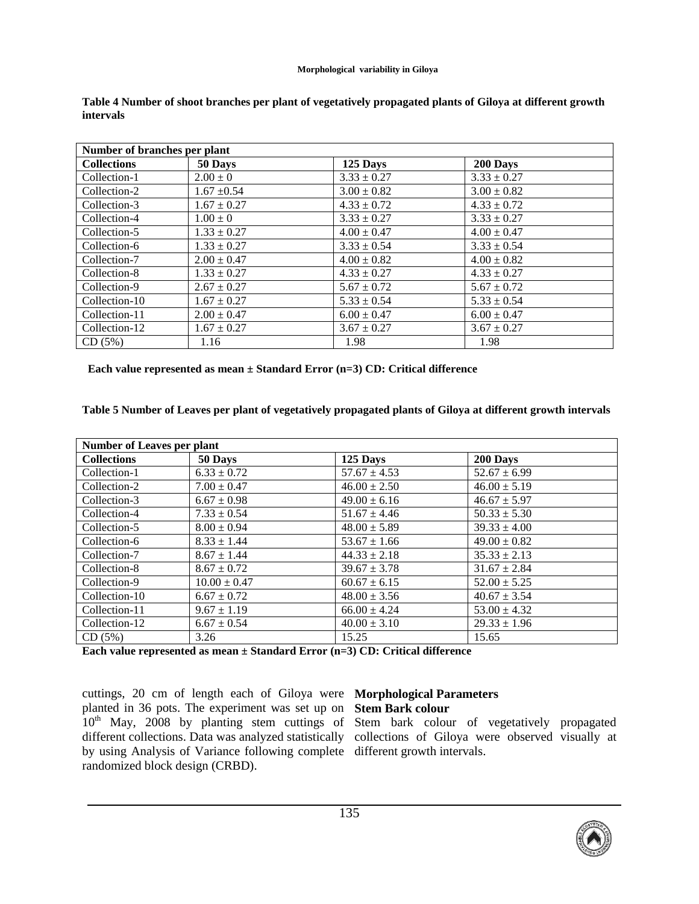### **Morphological variability in Giloya**

| Number of branches per plant |                 |                 |                 |  |
|------------------------------|-----------------|-----------------|-----------------|--|
| <b>Collections</b>           | 50 Days         | 125 Days        | 200 Days        |  |
| Collection-1                 | $2.00 \pm 0$    | $3.33 \pm 0.27$ | $3.33 \pm 0.27$ |  |
| Collection-2                 | $1.67 \pm 0.54$ | $3.00 \pm 0.82$ | $3.00 \pm 0.82$ |  |
| Collection-3                 | $1.67 \pm 0.27$ | $4.33 \pm 0.72$ | $4.33 \pm 0.72$ |  |
| Collection-4                 | $1.00 \pm 0$    | $3.33 \pm 0.27$ | $3.33 \pm 0.27$ |  |
| Collection-5                 | $1.33 \pm 0.27$ | $4.00 \pm 0.47$ | $4.00 \pm 0.47$ |  |
| Collection-6                 | $1.33 \pm 0.27$ | $3.33 \pm 0.54$ | $3.33 \pm 0.54$ |  |
| Collection-7                 | $2.00 \pm 0.47$ | $4.00 \pm 0.82$ | $4.00 \pm 0.82$ |  |
| Collection-8                 | $1.33 \pm 0.27$ | $4.33 \pm 0.27$ | $4.33 \pm 0.27$ |  |
| Collection-9                 | $2.67 \pm 0.27$ | $5.67 \pm 0.72$ | $5.67 \pm 0.72$ |  |
| Collection-10                | $1.67 \pm 0.27$ | $5.33 \pm 0.54$ | $5.33 \pm 0.54$ |  |
| Collection-11                | $2.00 \pm 0.47$ | $6.00 \pm 0.47$ | $6.00 \pm 0.47$ |  |
| Collection-12                | $1.67 \pm 0.27$ | $3.67 \pm 0.27$ | $3.67 \pm 0.27$ |  |
| CD(5%)                       | 1.16            | 1.98            | 1.98            |  |

**Table 4 Number of shoot branches per plant of vegetatively propagated plants of Giloya at different growth intervals**

 **Each value represented as mean ± Standard Error (n=3) CD: Critical difference**

**Table 5 Number of Leaves per plant of vegetatively propagated plants of Giloya at different growth intervals**

| <b>Number of Leaves per plant</b> |                  |                  |                  |  |
|-----------------------------------|------------------|------------------|------------------|--|
| <b>Collections</b>                | 50 Days          | 125 Days         | 200 Days         |  |
| Collection-1                      | $6.33 \pm 0.72$  | $57.67 \pm 4.53$ | $52.67 \pm 6.99$ |  |
| Collection-2                      | $7.00 \pm 0.47$  | $46.00 \pm 2.50$ | $46.00 \pm 5.19$ |  |
| Collection-3                      | $6.67 \pm 0.98$  | $49.00 \pm 6.16$ | $46.67 \pm 5.97$ |  |
| Collection-4                      | $7.33 \pm 0.54$  | $51.67 \pm 4.46$ | $50.33 \pm 5.30$ |  |
| Collection-5                      | $8.00 \pm 0.94$  | $48.00 \pm 5.89$ | $39.33 \pm 4.00$ |  |
| Collection-6                      | $8.33 \pm 1.44$  | $53.67 \pm 1.66$ | $49.00 \pm 0.82$ |  |
| Collection-7                      | $8.67 \pm 1.44$  | $44.33 \pm 2.18$ | $35.33 \pm 2.13$ |  |
| Collection-8                      | $8.67 \pm 0.72$  | $39.67 \pm 3.78$ | $31.67 \pm 2.84$ |  |
| Collection-9                      | $10.00 \pm 0.47$ | $60.67 \pm 6.15$ | $52.00 \pm 5.25$ |  |
| Collection-10                     | $6.67 \pm 0.72$  | $48.00 \pm 3.56$ | $40.67 \pm 3.54$ |  |
| Collection-11                     | $9.67 \pm 1.19$  | $66.00 \pm 4.24$ | $53.00 \pm 4.32$ |  |
| Collection-12                     | $6.67 \pm 0.54$  | $40.00 \pm 3.10$ | $29.33 \pm 1.96$ |  |
| CD(5%)                            | 3.26             | 15.25            | 15.65            |  |

**Each value represented as mean ± Standard Error (n=3) CD: Critical difference**

cuttings, 20 cm of length each of Giloya were **Morphological Parameters**  planted in 36 pots. The experiment was set up on **Stem Bark colour**   $10<sup>th</sup>$  May, 2008 by planting stem cuttings of Stem bark colour of vegetatively propagated by using Analysis of Variance following complete different growth intervals. randomized block design (CRBD).

different collections. Data was analyzed statistically collections of Giloya were observed visually at

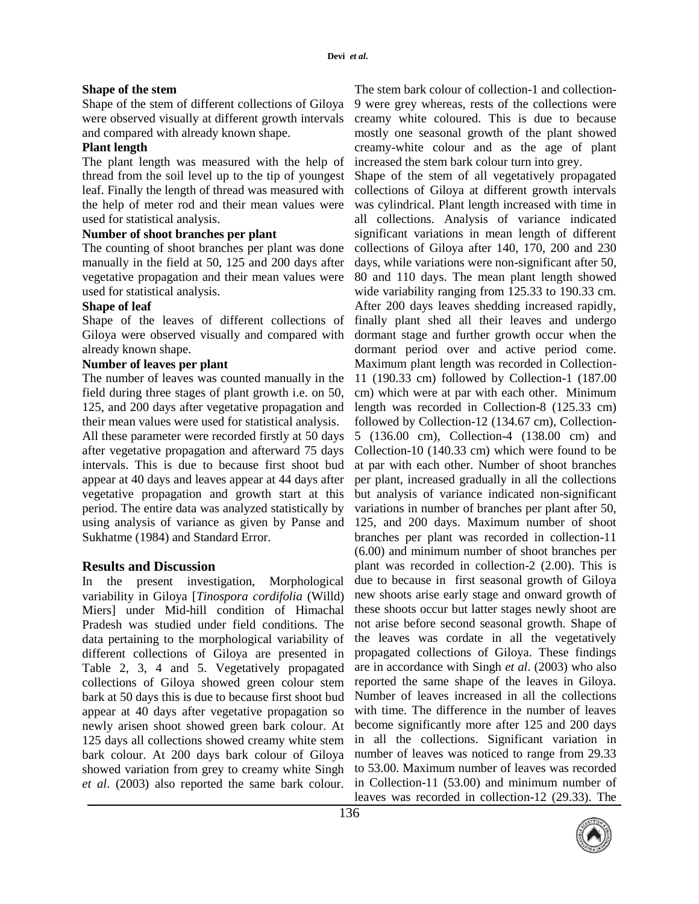### **Shape of the stem**

Shape of the stem of different collections of Giloya were observed visually at different growth intervals and compared with already known shape.

# **Plant length**

The plant length was measured with the help of thread from the soil level up to the tip of youngest leaf. Finally the length of thread was measured with the help of meter rod and their mean values were used for statistical analysis.

# **Number of shoot branches per plant**

The counting of shoot branches per plant was done manually in the field at 50, 125 and 200 days after vegetative propagation and their mean values were used for statistical analysis.

# **Shape of leaf**

Shape of the leaves of different collections of Giloya were observed visually and compared with already known shape.

# **Number of leaves per plant**

The number of leaves was counted manually in the field during three stages of plant growth i.e. on 50, 125, and 200 days after vegetative propagation and their mean values were used for statistical analysis.

All these parameter were recorded firstly at 50 days after vegetative propagation and afterward 75 days intervals. This is due to because first shoot bud appear at 40 days and leaves appear at 44 days after vegetative propagation and growth start at this period. The entire data was analyzed statistically by using analysis of variance as given by Panse and Sukhatme (1984) and Standard Error.

# **Results and Discussion**

In the present investigation, Morphological variability in Giloya [*Tinospora cordifolia* (Willd) Miers] under Mid-hill condition of Himachal Pradesh was studied under field conditions. The data pertaining to the morphological variability of different collections of Giloya are presented in Table 2, 3, 4 and 5. Vegetatively propagated collections of Giloya showed green colour stem bark at 50 days this is due to because first shoot bud appear at 40 days after vegetative propagation so newly arisen shoot showed green bark colour. At 125 days all collections showed creamy white stem bark colour. At 200 days bark colour of Giloya showed variation from grey to creamy white Singh *et al*. (2003) also reported the same bark colour.

The stem bark colour of collection-1 and collection-9 were grey whereas, rests of the collections were creamy white coloured. This is due to because mostly one seasonal growth of the plant showed creamy-white colour and as the age of plant increased the stem bark colour turn into grey.

Shape of the stem of all vegetatively propagated collections of Giloya at different growth intervals was cylindrical. Plant length increased with time in all collections. Analysis of variance indicated significant variations in mean length of different collections of Giloya after 140, 170, 200 and 230 days, while variations were non-significant after 50, 80 and 110 days. The mean plant length showed wide variability ranging from 125.33 to 190.33 cm. After 200 days leaves shedding increased rapidly, finally plant shed all their leaves and undergo dormant stage and further growth occur when the dormant period over and active period come. Maximum plant length was recorded in Collection-11 (190.33 cm) followed by Collection-1 (187.00 cm) which were at par with each other. Minimum length was recorded in Collection-8 (125.33 cm) followed by Collection-12 (134.67 cm), Collection-5 (136.00 cm), Collection-4 (138.00 cm) and Collection-10 (140.33 cm) which were found to be at par with each other. Number of shoot branches per plant, increased gradually in all the collections but analysis of variance indicated non-significant variations in number of branches per plant after 50, 125, and 200 days. Maximum number of shoot branches per plant was recorded in collection-11 (6.00) and minimum number of shoot branches per plant was recorded in collection-2 (2.00). This is due to because in first seasonal growth of Giloya new shoots arise early stage and onward growth of these shoots occur but latter stages newly shoot are not arise before second seasonal growth. Shape of the leaves was cordate in all the vegetatively propagated collections of Giloya. These findings are in accordance with Singh *et al*. (2003) who also reported the same shape of the leaves in Giloya. Number of leaves increased in all the collections with time. The difference in the number of leaves become significantly more after 125 and 200 days in all the collections. Significant variation in number of leaves was noticed to range from 29.33 to 53.00. Maximum number of leaves was recorded in Collection-11 (53.00) and minimum number of leaves was recorded in collection-12 (29.33). The